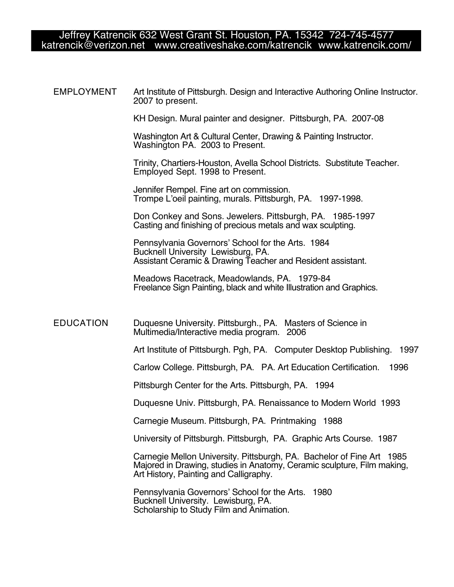## Jeffrey Katrencik 632 West Grant St. Houston, PA. 15342 724-745-4577 katrencik@verizon.net www.creativeshake.com/katrencik www.katrencik.com/

EMPLOYMENT Art Institute of Pittsburgh. Design and Interactive Authoring Online Instructor. 2007 to present.

KH Design. Mural painter and designer. Pittsburgh, PA. 2007-08

Washington Art & Cultural Center, Drawing & Painting Instructor. Washington PA. 2003 to Present.

Trinity, Chartiers-Houston, Avella School Districts. Substitute Teacher. Employed Sept. 1998 to Present.

Jennifer Rempel. Fine art on commission. Trompe L'oeil painting, murals. Pittsburgh, PA. 1997-1998.

Don Conkey and Sons. Jewelers. Pittsburgh, PA. 1985-1997 Casting and finishing of precious metals and wax sculpting.

Pennsylvania Governors' School for the Arts. 1984 Bucknell University Lewisburg, PA. Assistant Ceramic & Drawing Teacher and Resident assistant.

Meadows Racetrack, Meadowlands, PA. 1979-84 Freelance Sign Painting, black and white Illustration and Graphics.

#### EDUCATION Duquesne University. Pittsburgh., PA. Masters of Science in Multimedia/Interactive media program. 2006

Art Institute of Pittsburgh. Pgh, PA. Computer Desktop Publishing. 1997

Carlow College. Pittsburgh, PA. PA. Art Education Certification. 1996

Pittsburgh Center for the Arts. Pittsburgh, PA. 1994

Duquesne Univ. Pittsburgh, PA. Renaissance to Modern World 1993

Carnegie Museum. Pittsburgh, PA. Printmaking 1988

University of Pittsburgh. Pittsburgh, PA. Graphic Arts Course. 1987

Carnegie Mellon University. Pittsburgh, PA. Bachelor of Fine Art 1985 Majored in Drawing, studies in Anatomy, Ceramic sculpture, Film making,

Pennsylvania Governors' School for the Arts. 1980 Bucknell University. Lewisburg, PA. Scholarship to Study Film and Animation.